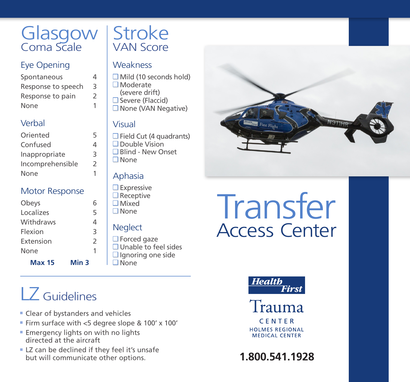## **Glasgow** Coma Scale

#### Eye Opening

| Spontaneous        | 4 |
|--------------------|---|
| Response to speech | 3 |
| Response to pain   | 2 |
| None               | 1 |

#### Verbal

| Oriented         | 5 |
|------------------|---|
| Confused         | 4 |
| Inappropriate    | 3 |
| Incomprehensible | 2 |
| None             |   |

#### Motor Response

| Obeys     | 6             |
|-----------|---------------|
| Localizes | 5             |
| Withdraws | 4             |
| Flexion   | 3             |
| Extension | $\mathcal{P}$ |
| None      |               |
|           |               |

**Max 15 Min 3**

## LZ Guidelines

- Clear of bystanders and vehicles
- Firm surface with <5 degree slope & 100' x 100'
- Emergency lights on with no lights directed at the aircraft
- LZ can be declined if they feel it's unsafe but will communicate other options.

## **Stroke** VAN Score

#### **Weakness**

- $\Box$  Mild (10 seconds hold)
- □ Moderate
- (severe drift)  $\square$  Severe (Flaccid)
	- □ None (VAN Negative)

#### Visual

 $\Box$  Field Cut (4 quadrants) □ Double Vision Blind - New Onset None

#### Aphasia

- $\square$  Expressive  $\square$  Receptive Mixed
- None

#### **Neglect**

 $\Box$  Forced gaze Unable to feel sides  $\Box$  Ignoring one side □ None

# **Transfer** Access Center





**HOLMES REGIONAL MEDICAL CENTER** 

**1.800.541.1928**

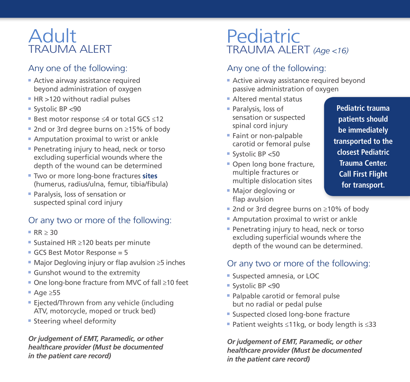### Adult TRAUMA ALERT

#### Any one of the following:

- Active airway assistance required beyond administration of oxygen
- HR >120 without radial pulses
- Systolic BP <90
- Best motor response ≤4 or total GCS ≤12
- 2nd or 3rd degree burns on ≥15% of body
- Amputation proximal to wrist or ankle
- Penetrating injury to head, neck or torso excluding superficial wounds where the depth of the wound can be determined
- Two or more long-bone fractures **sites** (humerus, radius/ulna, femur, tibia/fibula)
- Paralysis, loss of sensation or suspected spinal cord injury

#### Or any two or more of the following:

- $R = RR > 30$
- Sustained HR ≥120 beats per minute
- GCS Best Motor Response = 5
- Major Degloving injury or flap avulsion ≥5 inches
- Gunshot wound to the extremity
- One long-bone fracture from MVC of fall ≥10 feet
- Age ≥55
- Ejected/Thrown from any vehicle (including ATV, motorcycle, moped or truck bed)
- Steering wheel deformity

*Or judgement of EMT, Paramedic, or other healthcare provider (Must be documented in the patient care record)*

## Pediatric TRAUMA ALERT *(Age <16)*

#### Any one of the following:

- Active airway assistance required beyond passive administration of oxygen
- Altered mental status
- Paralysis, loss of sensation or suspected spinal cord injury
- Faint or non-palpable carotid or femoral pulse
- Systolic BP <50
- Open long bone fracture, multiple fractures or multiple dislocation sites
- Major degloving or flap avulsion

**Pediatric trauma patients should be immediately transported to the closest Pediatric Trauma Center. Call First Flight for transport.**

- 2nd or 3rd degree burns on ≥10% of body
- Amputation proximal to wrist or ankle
- Penetrating injury to head, neck or torso excluding superficial wounds where the depth of the wound can be determined.

#### Or any two or more of the following:

- Suspected amnesia, or LOC
- Systolic BP <90
- Palpable carotid or femoral pulse but no radial or pedal pulse
- Suspected closed long-bone fracture
- Patient weights ≤11kg, or body length is ≤33

*Or judgement of EMT, Paramedic, or other healthcare provider (Must be documented in the patient care record)*